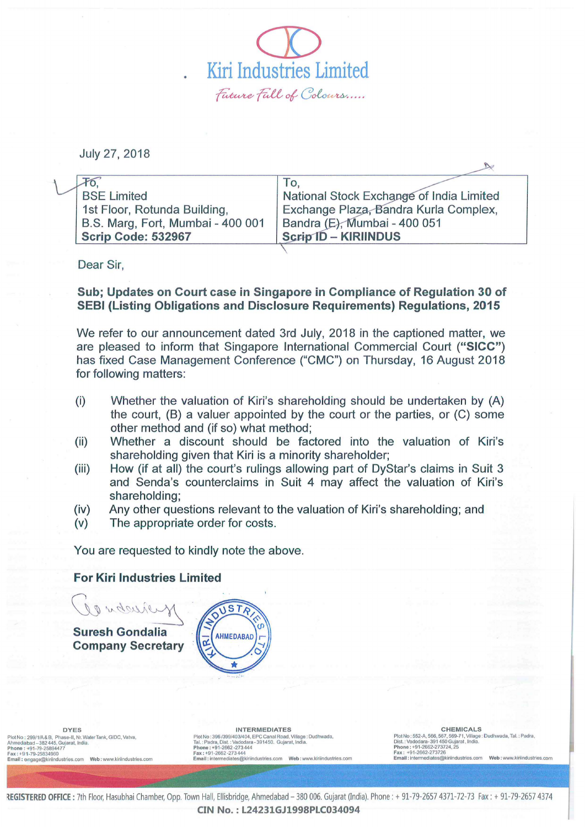$\overline{\mathcal{D}}$ Kiri Industries Limited Future Full of Colours.....

July 27, 2018

| <b>BSE Limited</b>                | National Stock Exchange of India Limited |
|-----------------------------------|------------------------------------------|
| 1st Floor, Rotunda Building,      | Exchange Plaza, Bandra Kurla Complex.    |
| B.S. Marg, Fort, Mumbai - 400 001 | Bandra (E), Mumbai - 400 051             |
| <b>Scrip Code: 532967</b>         | <b>Scrip ID - KIRIINDUS</b>              |
|                                   |                                          |

Dear Sir,

## Sub; Updates on Court case in Singapore in Compliance of Regulation 30 of SEBI (Listing Obligations and Disclosure Requirements) Regulations, 2015

We refer to our announcement dated 3rd July, 2018 in the captioned matter, we are pleased to inform that Singapore International Commercial Court ("SICC") has fixed Case Management Conference ("CMC") on Thursday, 16 August 2018 for following matters:

- (i) Whether the valuation of Kiri's shareholding should be undertaken by (A) the court, (B) a valuer appointed by the court or the parties, or (C) some other method and (if so) what method;
- (ii) Whether a discount should be factored into the valuation of Kiri's shareholding given that Kiri is a minority shareholder;
- (iii) How (if at all) the court's rulings allowing part of DyStar's claims in Suit 3 and Senda's counterclaims in Suit 4 may affect the valuation of Kiri's shareholding;
- (iv) Any other questions relevant to the valuation of Kiri's shareholding; and
- (v) The appropriate order for costs.

You are requested to kindly note the above.

## For Kiri Industries Limited





lot No: 299/1/A & B, Phase-II, Nr. Water Tank, GIDC, Vatva, Ahmedabad -382445, Gujarat, India. Phone : +91·79-25894477 Fax: +91-79-25834960 Email : engage@klriindustries.com Web: YtWW.klrilnduslries.com

UNTERMEDIATES<br>
INTERMEDIATES (INTERMEDIATES (INTERMENTER ENGLISHEN PREMICALS<br>
Tal.: Padra, Dist.: Vadodara - 391450. Gujarat, India.<br>
Jight, India. Politics: 552-8, 568, 57, 2004, 2004, 2004, 2004, 2004, 2004, 2004, 2004,

Plot No ; 5S2-A, 566, 567, 569-71, Village: Oudhwada, Tal. : Padra, Dist. : Vadodara- 391450 Gujaral , India. Phone: +91-2662-273724, 25 Fax : +91-2662-273726 Email: inlermedlales@kiriindustries.com Web : www.kiriinduslries.com

B

REGISTERED OFFICE: 7th Floor, Hasubhai Chamber, Opp. Town Hall, Ellisbridge, Ahmedabad - 380 006. Gujarat (India). Phone: + 91-79-2657 4371-72-73 Fax: + 91-79-2657 4374 CIN No.:L24231GJ1998PLC034094